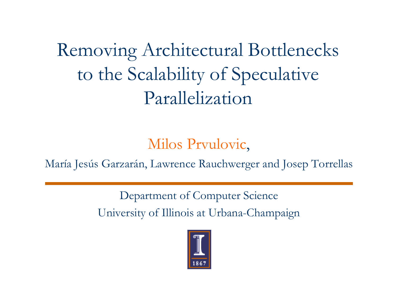Removing Architectural Bottlenecks to the Scalability of Speculative Parallelization

Milos Prvulovic,

María Jesús Garzarán, Lawrence Rauchwerger and Josep Torrellas

Department of Computer Science University of Illinois at Urbana-Champaign

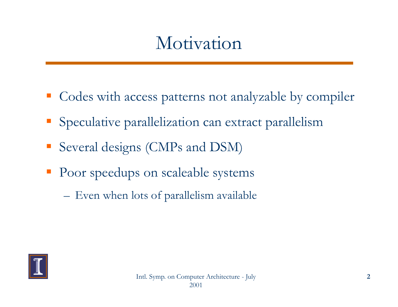### Motivation

- Codes with access patterns not analyzable by compiler
- Speculative parallelization can extract parallelism
- Several designs (CMPs and DSM)
- Poor speedups on scaleable systems
	- **Hart Committee Committee** Even when lots of parallelism available

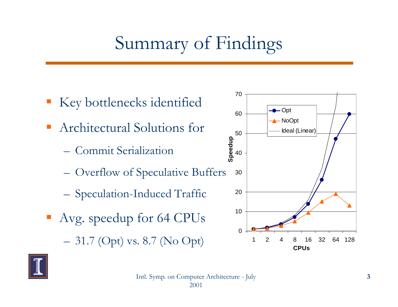## Summary of Findings

- Key bottlenecks identified
- $\mathcal{L}_{\text{max}}$ Architectural Solutions for  $_{50}$ 
	- Commit Serialization
	- Overflow of Speculative Buffers <sup>30</sup>  $-$  Overliow of operative Duffer
	- –Speculation-Induced Traffic
- Avg. speedup for 64 CPUs **Hart Committee Committee** 31.7 (Opt) vs. 8.7 (No Opt)



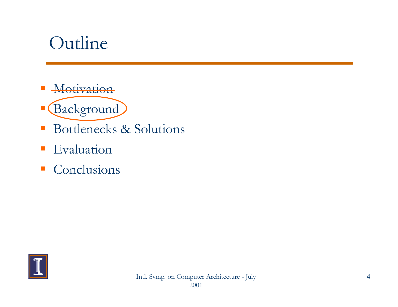#### Outline

- **Motivation**
- Background
- $\mathcal{L}_{\mathcal{A}}$ Bottlenecks & Solutions
- $\mathcal{L}_{\mathcal{A}}$ Evaluation
- $\mathcal{L}_{\mathcal{A}}$ Conclusions

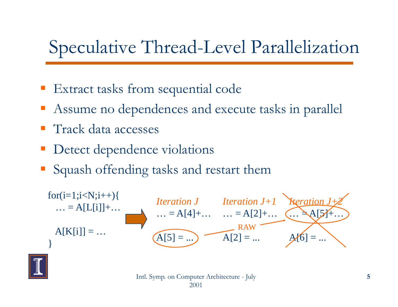## Speculative Thread-Level Parallelization

- Extract tasks from sequential code
- Assume no dependences and execute tasks in parallel
- Track data accesses
- Detect dependence violations
- Squash offending tasks and restart them



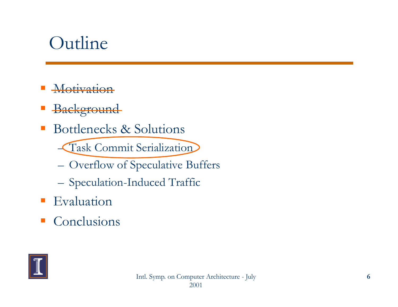#### Outline

- **Motivation**
- **Background**
- $\mathcal{L}_{\mathcal{A}}$  Bottlenecks & Solutions
	- Task Commit Serialization
	- –Overflow of Speculative Buffers
	- Speculation-Induced Traffic
- **Evaluation**
- $\mathcal{L}_{\mathcal{A}}$ Conclusions

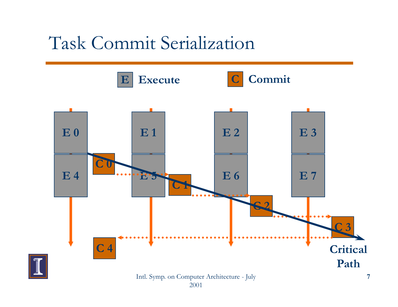#### Task Commit Serialization

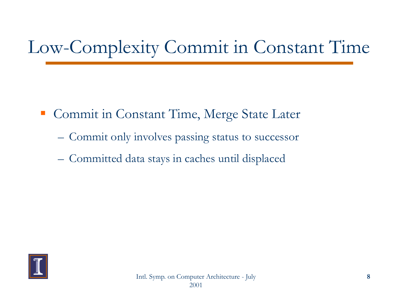# Low-Complexity Commit in Constant Time

- **Commit in Constant Time, Merge State Later** 
	- Commit only involves passing status to successor
	- **Hart Committee Committee** Committed data stays in caches until displaced

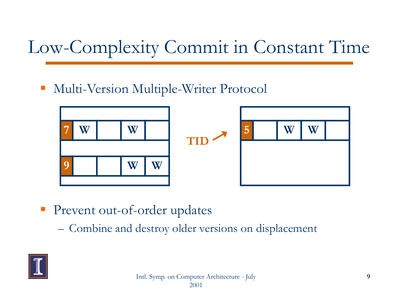# Low-Complexity Commit in Constant Time

Multi-Version Multiple-Writer Protocol



**Prevent out-of-order updates** 

–Combine and destroy older versions on displacement

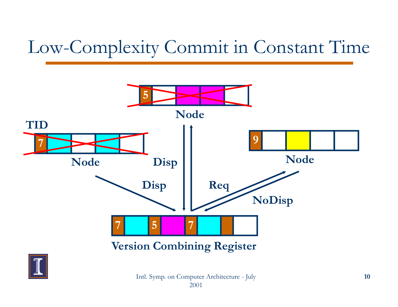## Low-Complexity Commit in Constant Time



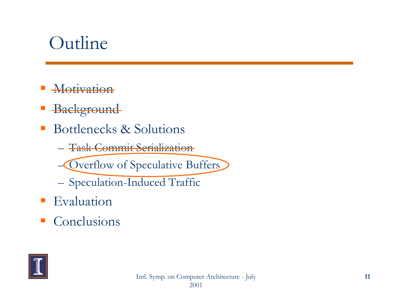#### Outline

- **Motivation**
- **Background**
- $\mathcal{L}_{\mathcal{A}}$  Bottlenecks & Solutions
	- Task Commit Serialization

Overflow of Speculative Buffers

- Speculation-Induced Traffic
- **Evaluation**
- $\mathcal{L}_{\mathcal{A}}$ Conclusions

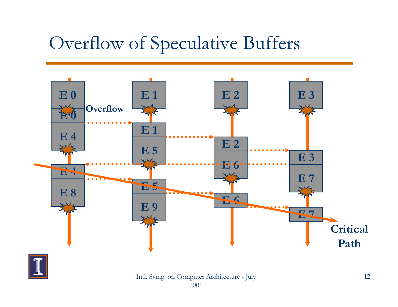#### Overflow of Speculative Buffers





Intl. Symp. on Computer Architecture - July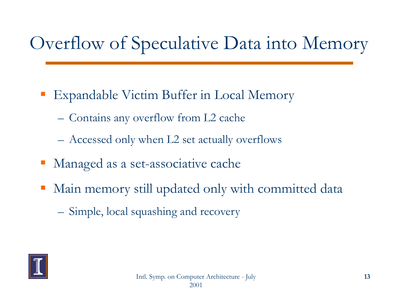## Overflow of Speculative Data into Memory

- Expandable Victim Buffer in Local Memory
	- –Contains any overflow from L2 cache
	- –Accessed only when L2 set actually overflows
- Managed as a set-associative cache
- $\mathcal{L}_{\mathcal{A}}$  Main memory still updated only with committed data
	- –– Simple, local squashing and recovery

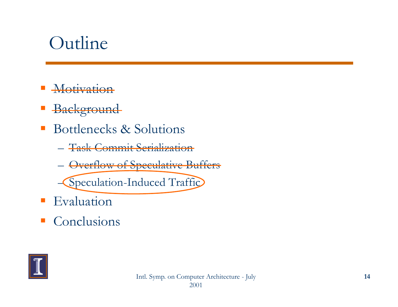#### Outline

- **Motivation**
- **Background**
- $\mathcal{L}_{\mathcal{A}}$  Bottlenecks & Solutions
	- Task Commit Serialization
	- –Overflow of Speculative Buffers

Speculation-Induced Traffic

- **Evaluation**
- $\mathcal{L}_{\mathcal{A}}$ Conclusions

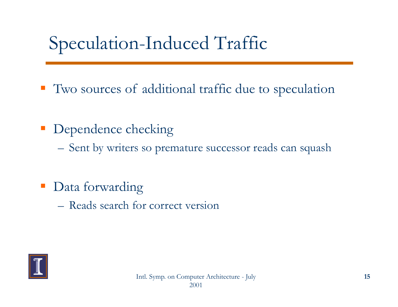## Speculation-Induced Traffic

- Two sources of additional traffic due to s peculation
- Dependence checking
	- –Sent by writers so premature successor reads can squash
- Data forwarding
	- Reads search for correct version

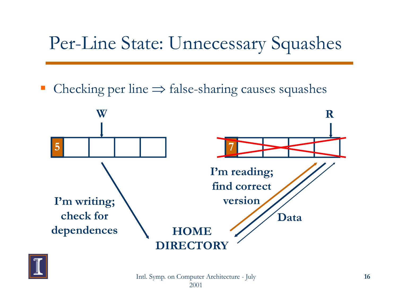### Per-Line State: Unnecessary Squashes

 $\mathbb{R}^n$ • Checking per line  $\Rightarrow$  false-sharing causes squashes





Intl. Symp. on Computer Architecture - July 2001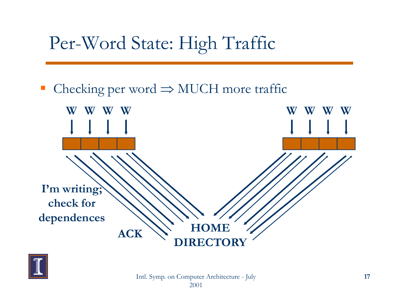## Per-Word State: High Traffic

#### ■ Checking per word  $\Rightarrow$  MUCH more traffic



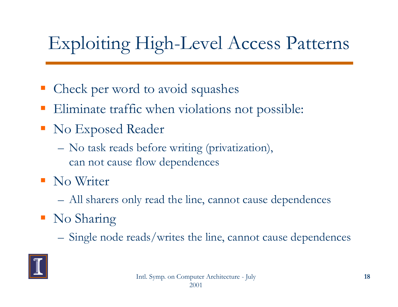## Exploiting High-Level Access Patterns

- • Check per word to avoid squashes
- Eliminate traffic when violations not possible:
- No Ex posed Reader
	- – No task reads before writing (privatization), can not cause flow dependences
- **No Writer** 
	- All sharers only read the line, cannot cause dependences
- No Sharin g
	- –Single node reads/writes the line, cannot cause dependences

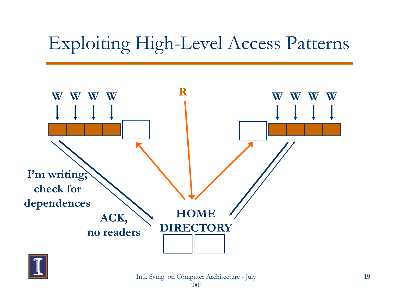### Exploiting High-Level Access Patterns





Intl. Symp. on Computer Architecture - July 2001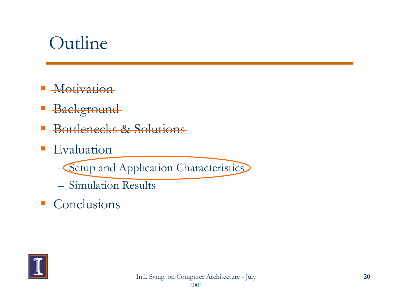#### Outline

- **Motivation**
- **Background**
- $\mathcal{L}_{\mathcal{A}}$ Bottlenecks & Solutions
- $\mathcal{L}_{\mathcal{A}}$ Evaluation

–**- Setup and Application Characteristics** 

- Simulation Results
- Conclusions

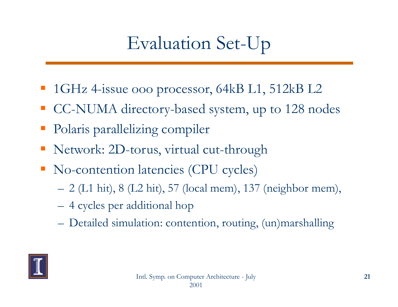## Evaluation Set-Up

- 1GHz 4-issue ooo processor, 64kB L1, 512kB L2
- CC-NUMA directory-based system, up to 128 nodes
- • Polaris parallelizing compiler
- Network: 2D-torus, virtual cut-through
- No-contention latencies (CPU cycles)
	- –2 (L1 hit), 8 (L2 hit), 57 (local mem), 137 (neighbor mem),
	- 4 cycles per additional hop
	- **Hart Committee Committee** Detailed simulation: contention, routing, (un)marshalling

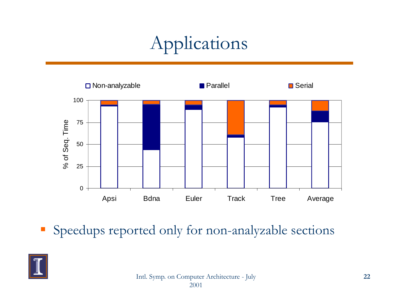# Applications



**Speedups reported only for non-analyzable sections** 

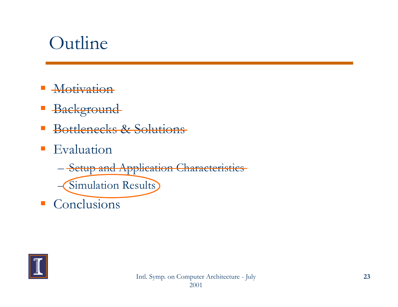#### Outline

- Motivation
- **Background**
- $\mathcal{L}_{\mathcal{A}}$ Bottlenecks & Solutions
- $\mathcal{L}_{\text{max}}$  Evaluation
	- **Hart Committee Committee** – <del>Setup and Application Characteristics</del> – Simulation Results
- Conclusions

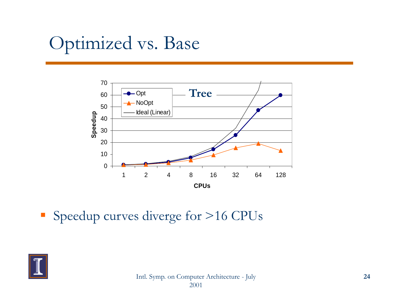## Optimized vs. Base



• Speedup curves diverge for >16 CPUs

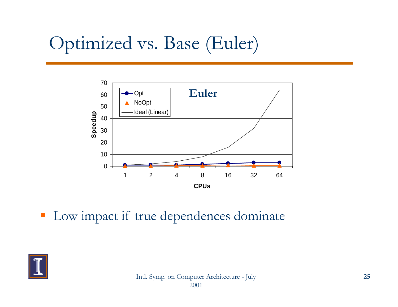## Optimized vs. Base (Euler)



• Low impact if true dependences dominate

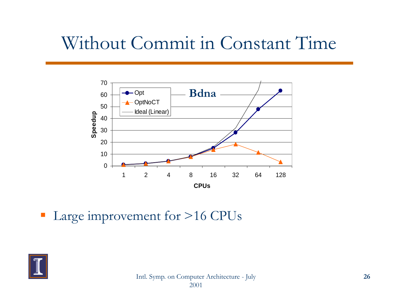#### Without Commit in Constant Time



 $\blacksquare$  Large improvement for >16 CPUs

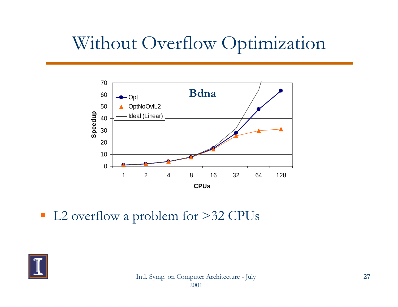#### Without Overflow Optimization



■ L2 overflow a problem for >32 CPUs

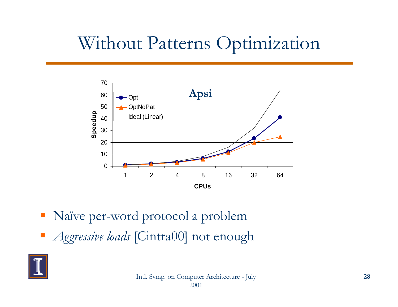#### Without Patterns Optimization



- Naïve per-word protocol a problem
- *Aggressive loads* [Cintra00] not enough

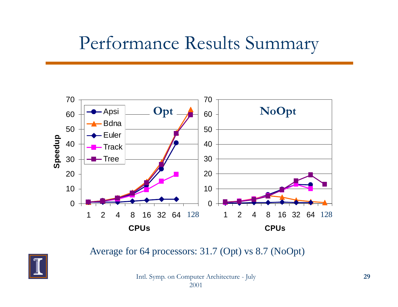#### Performance Results Summary



Average for 64 processors: 31.7 (Opt) vs 8.7 (NoOpt)

Intl. Symp. on Computer Architecture - July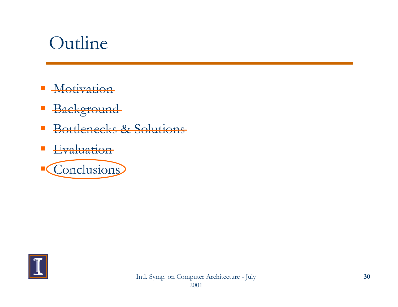#### Outline

- $\mathcal{L}_{\mathcal{A}}$ **Motivation**
- Background
- $\mathbb{R}^n$ Bottlenecks & Solutions
- Evaluation



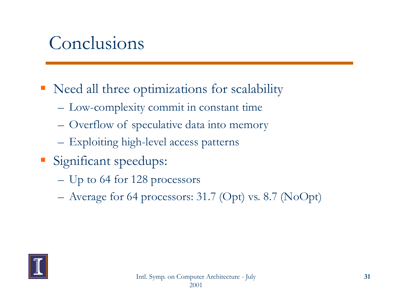#### Conclusions

- Need all three optimizations for scalability
	- –Low-complexity commit in constant time
	- –Overflow of speculative data into memory
	- **Hart Committee Committee** Exploiting high-level access patterns
- Significant speedups:
	- –Up to 64 for 128 processors
	- –Average for 64 processors: 31.7 (Opt) vs. 8.7 (NoOpt)

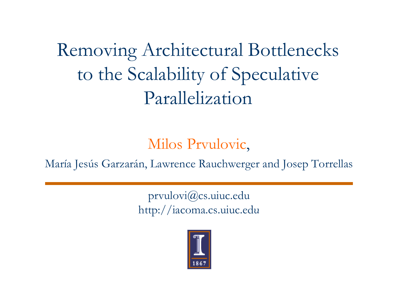Removing Architectural Bottlenecks to the Scalability of Speculative Parallelization

Milos Prvulovic,

María Jesús Garzarán, Lawrence Rauchwerger and Josep Torrellas

prvulovi@cs.uiuc.edu http://iacoma.cs.uiuc.edu

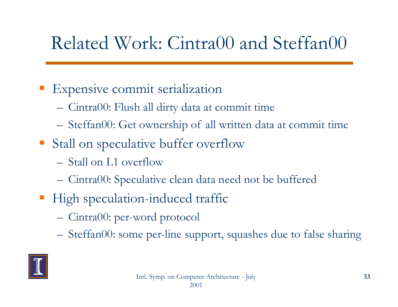## Related Work: Cintra00 and Steffan00

#### **Expensive commit serialization**

- Cintra00: Flush all dirty data at commit time
- Steffan00: Get ownership of all written data at commit time
- Stall on speculative buffer overflow
	- Stall on L1 overflow
	- Cintra00: Speculative clean data need not be buffered
- **High speculation-induced traffic** 
	- Cintra00: pe r word protocol
	- Steffan00: some per-line support, squashes due to false sharing

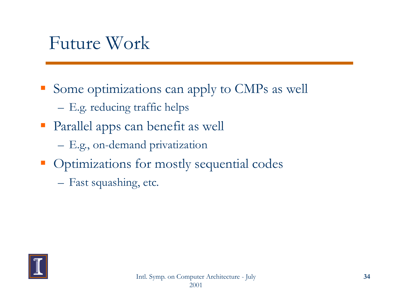#### Future Work

- Some optimizations can apply to CMPs as well
	- –E.g. reducing traffic helps
- **Parallel apps can benefit as well** 
	- **Hart Committee Committee** E.g., on-demand privatization
- **Optimizations for mostly sequential codes** 
	- Fast squashing, etc.

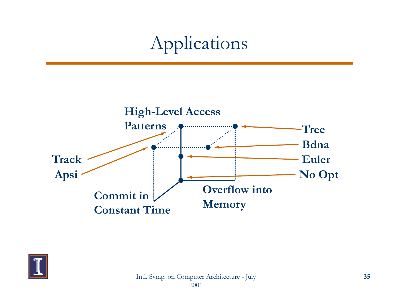## Applications